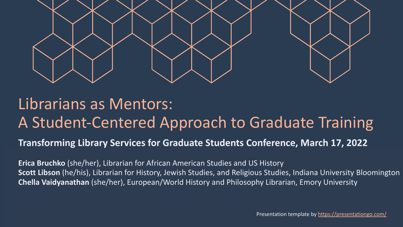

#### Librarians as Mentors: A Student-Centered Approach to Graduate Training

#### **Transforming Library Services for Graduate Students Conference, March 17, 2022**

**Erica Bruchko** (she/her), Librarian for African American Studies and US History **Scott Libson** (he/his), Librarian for History, Jewish Studies, and Religious Studies, Indiana University Bloomington **Chella Vaidyanathan** (she/her), European/World History and Philosophy Librarian, Emory University

Presentation template by<https://presentationgo.com/>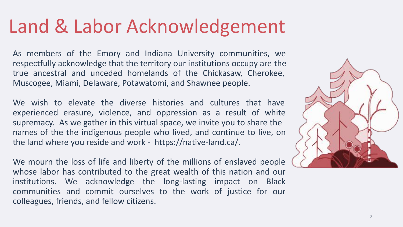## Land & Labor Acknowledgement

As members of the Emory and Indiana University communities, we respectfully acknowledge that the territory our institutions occupy are the true ancestral and unceded homelands of the Chickasaw, Cherokee, Muscogee, Miami, Delaware, Potawatomi, and Shawnee people.

We wish to elevate the diverse histories and cultures that have experienced erasure, violence, and oppression as a result of white supremacy. As we gather in this virtual space, we invite you to share the names of the the indigenous people who lived, and continue to live, on the land where you reside and work - https://native-land.ca/.

We mourn the loss of life and liberty of the millions of enslaved people whose labor has contributed to the great wealth of this nation and our institutions. We acknowledge the long-lasting impact on Black communities and commit ourselves to the work of justice for our colleagues, friends, and fellow citizens.

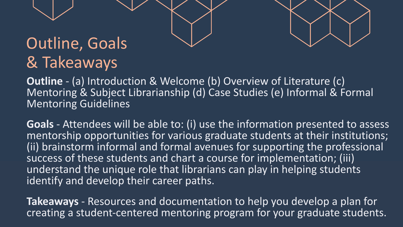# Outline, Goals

## & Takeaways

**Outline** - (a) Introduction & Welcome (b) Overview of Literature (c) Mentoring & Subject Librarianship (d) Case Studies (e) Informal & Formal Mentoring Guidelines

**Goals** - Attendees will be able to: (i) use the information presented to assess mentorship opportunities for various graduate students at their institutions; (ii) brainstorm informal and formal avenues for supporting the professional success of these students and chart a course for implementation; (iii) understand the unique role that librarians can play in helping students identify and develop their career paths.

creating a student-centered mentoring program for your graduate students. **Takeaways** - Resources and documentation to help you develop a plan for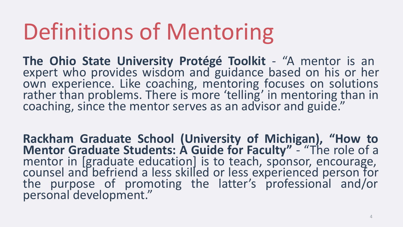# Definitions of Mentoring

**The Ohio State University Protégé Toolkit** - "A mentor is an expert who provides wisdom and guidance based on his or her own experience. Like coaching, mentoring focuses on solutions rather than problems. There is more 'telling' in mentoring than in coaching, since the mentor serves as an advisor and guide."

**Rackham Graduate School (University of Michigan), "How to Mentor Graduate Students: A Guide for Faculty"** - "The role of a mentor in [graduate education] is to teach, sponsor, encourage, counsel and befriend a less skilled or less experienced person for the purpose of promoting the latter's professional and/or personal development."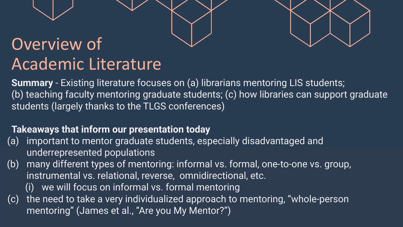#### Overview of Academic Literature

**Summary** - Existing literature focuses on (a) librarians mentoring LIS students; (b) teaching faculty mentoring graduate students; (c) how libraries can support graduate students (largely thanks to the TLGS conferences)

#### **Takeaways that inform our presentation today**

- (a) important to mentor graduate students, especially disadvantaged and underrepresented populations
- (b) many different types of mentoring: informal vs. formal, one-to-one vs. group, instrumental vs. relational, reverse, omnidirectional, etc.
	- (i) we will focus on informal vs. formal mentoring
- (c) the need to take a very individualized approach to mentoring, "whole-person mentoring" (James et al., "Are you My Mentor?")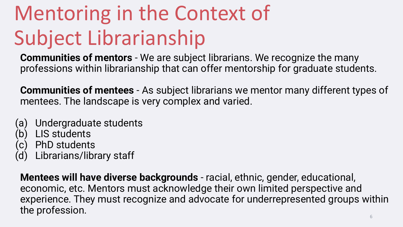# Mentoring in the Context of Subject Librarianship

**Communities of mentors** - We are subject librarians. We recognize the many professions within librarianship that can offer mentorship for graduate students.

**Communities of mentees** - As subject librarians we mentor many different types of mentees. The landscape is very complex and varied.

- (a) Undergraduate students
- (b) LIS students
- (c) PhD students
- Librarians/library staff

**Mentees will have diverse backgrounds** - racial, ethnic, gender, educational, economic, etc. Mentors must acknowledge their own limited perspective and experience. They must recognize and advocate for underrepresented groups within the profession.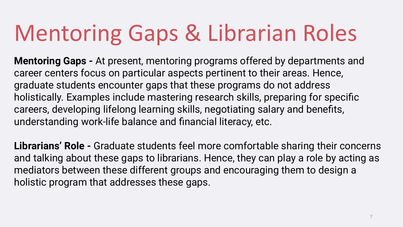# Mentoring Gaps & Librarian Roles

**Mentoring Gaps -** At present, mentoring programs offered by departments and career centers focus on particular aspects pertinent to their areas. Hence, graduate students encounter gaps that these programs do not address holistically. Examples include mastering research skills, preparing for specific careers, developing lifelong learning skills, negotiating salary and benefits, understanding work-life balance and financial literacy, etc.

**Librarians' Role -** Graduate students feel more comfortable sharing their concerns and talking about these gaps to librarians. Hence, they can play a role by acting as mediators between these different groups and encouraging them to design a holistic program that addresses these gaps.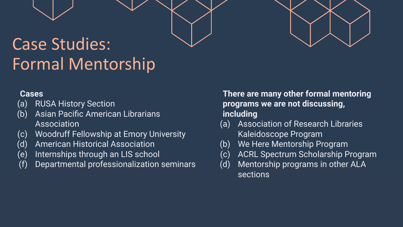### Case Studies: Formal Mentorship

#### **Cases**

- (a) RUSA History Section
- (b) Asian Pacific American Librarians Association
- (c) Woodruff Fellowship at Emory University
- (d) American Historical Association
- (e) Internships through an LIS school
- (f) Departmental professionalization seminars

**There are many other formal mentoring programs we are not discussing, including**

- (a) Association of Research Libraries Kaleidoscope Program
- (b) We Here Mentorship Program
- (c) ACRL Spectrum Scholarship Program
- (d) Mentorship programs in other ALA sections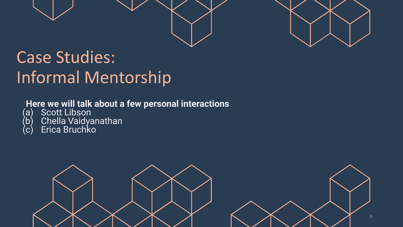

#### Case Studies: Informal Mentorship

#### **Here we will talk about a few personal interactions**

- (a) Scott Libson
- (b) Chella Vaidyanathan
- (c) Erica Bruchko

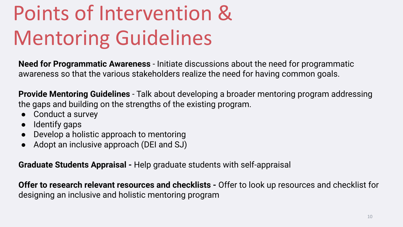# Points of Intervention & Mentoring Guidelines

**Need for Programmatic Awareness** - Initiate discussions about the need for programmatic awareness so that the various stakeholders realize the need for having common goals.

**Provide Mentoring Guidelines** - Talk about developing a broader mentoring program addressing the gaps and building on the strengths of the existing program.

- Conduct a survey
- Identify gaps
- Develop a holistic approach to mentoring
- Adopt an inclusive approach (DEI and SJ)

**Graduate Students Appraisal -** Help graduate students with self-appraisal

**Offer to research relevant resources and checklists -** Offer to look up resources and checklist for designing an inclusive and holistic mentoring program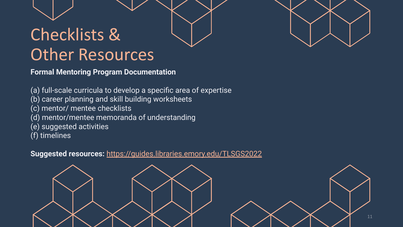### Checklists & Other Resources

**Formal Mentoring Program Documentation** 

(a) full-scale curricula to develop a specific area of expertise

- (b) career planning and skill building worksheets
- (c) mentor/ mentee checklists
- (d) mentor/mentee memoranda of understanding
- (e) suggested activities
- (f) timelines

**Suggested resources:** <https://guides.libraries.emory.edu/TLSGS2022>

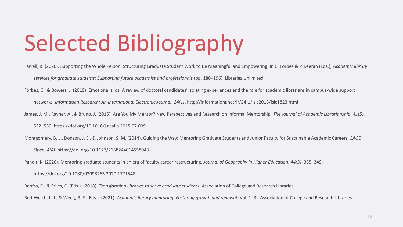# Selected Bibliography

Farrell, B. (2020). Supporting the Whole Person: Structuring Graduate Student Work to Be Meaningful and Empowering. In C. Forbes & P. Keeran (Eds.), *Academic library* 

*services for graduate students: Supporting future academics and professionals* (pp. 180–196). Libraries Unlimited.

Forbes, C., & Bowers, J. (2019). Emotional silos: A review of doctoral candidates' isolating experiences and the role for academic librarians in campus-wide support

networks. *Information Research: An International Electronic Journal, 24(1)*.<http://informationr.net/ir/24-1/isic2018/isic1823.html>

James, J. M., Rayner, A., & Bruno, J. (2015). Are You My Mentor? New Perspectives and Research on Informal Mentorship. *The Journal of Academic Librarianship, 41(5)*,

532–539.<https://doi.org/10.1016/j.acalib.2015.07.009>

Montgomery, B. L., Dodson, J. E., & Johnson, S. M. (2014). Guiding the Way: Mentoring Graduate Students and Junior Faculty for Sustainable Academic Careers. *SAGE* 

*Open, 4(4)*[. https://doi.org/10.1177/2158244014558043](https://doi.org/10.1177/2158244014558043)

Pandit, K. (2020). Mentoring graduate students in an era of faculty career restructuring. *Journal of Geography in Higher Education, 44(3)*, 335–349[.](https://doi.org/10.1080/03098265.2020.1771548)

<https://doi.org/10.1080/03098265.2020.1771548>

Renfro, C., & Stiles, C. (Eds.). (2018). *Transforming libraries to serve graduate students*. Association of College and Research Libraries.

Rod-Welch, L. J., & Weeg, B. E. (Eds.). (2021). *Academic library mentoring: Fostering growth and renewal* (Vol. 1–3). Association of College and Research Libraries.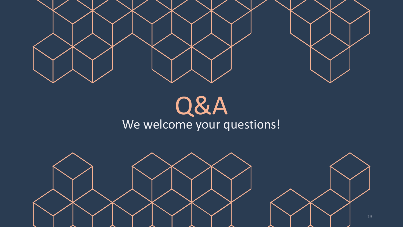

## Q&A We welcome your questions!